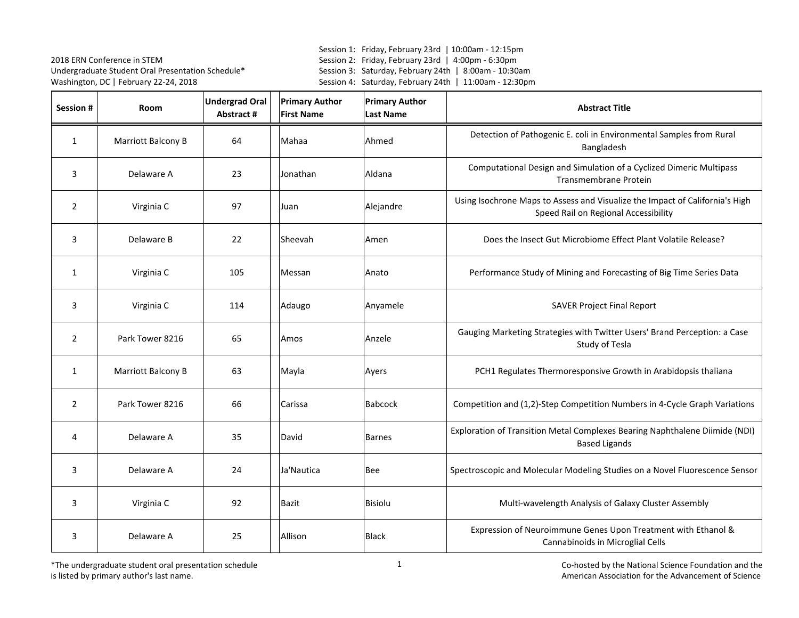Session 1: Friday, February 23rd | 10:00am - 12:15pm Session 2: Friday, February 23rd | 4:00pm - 6:30pm Session 3: Saturday, February 24th | 8:00am - 10:30am Session 4: Saturday, February 24th | 11:00am - 12:30pm

| Session #      | Room               | <b>Undergrad Oral</b><br>Abstract # | <b>Primary Author</b><br><b>First Name</b> | <b>Primary Author</b><br><b>Last Name</b> | <b>Abstract Title</b>                                                                                                |
|----------------|--------------------|-------------------------------------|--------------------------------------------|-------------------------------------------|----------------------------------------------------------------------------------------------------------------------|
| $\mathbf{1}$   | Marriott Balcony B | 64                                  | Mahaa                                      | Ahmed                                     | Detection of Pathogenic E. coli in Environmental Samples from Rural<br>Bangladesh                                    |
| 3              | Delaware A         | 23                                  | Jonathan                                   | Aldana                                    | Computational Design and Simulation of a Cyclized Dimeric Multipass<br>Transmembrane Protein                         |
| $\overline{2}$ | Virginia C         | 97                                  | Juan                                       | Alejandre                                 | Using Isochrone Maps to Assess and Visualize the Impact of California's High<br>Speed Rail on Regional Accessibility |
| 3              | Delaware B         | 22                                  | Sheevah                                    | Amen                                      | Does the Insect Gut Microbiome Effect Plant Volatile Release?                                                        |
| $\mathbf{1}$   | Virginia C         | 105                                 | Messan                                     | Anato                                     | Performance Study of Mining and Forecasting of Big Time Series Data                                                  |
| 3              | Virginia C         | 114                                 | Adaugo                                     | Anyamele                                  | <b>SAVER Project Final Report</b>                                                                                    |
| $\overline{2}$ | Park Tower 8216    | 65                                  | Amos                                       | Anzele                                    | Gauging Marketing Strategies with Twitter Users' Brand Perception: a Case<br>Study of Tesla                          |
| $\mathbf{1}$   | Marriott Balcony B | 63                                  | Mayla                                      | Ayers                                     | PCH1 Regulates Thermoresponsive Growth in Arabidopsis thaliana                                                       |
| $\overline{2}$ | Park Tower 8216    | 66                                  | Carissa                                    | <b>Babcock</b>                            | Competition and (1,2)-Step Competition Numbers in 4-Cycle Graph Variations                                           |
| 4              | Delaware A         | 35                                  | David                                      | <b>Barnes</b>                             | Exploration of Transition Metal Complexes Bearing Naphthalene Diimide (NDI)<br><b>Based Ligands</b>                  |
| 3              | Delaware A         | 24                                  | Ja'Nautica                                 | Bee                                       | Spectroscopic and Molecular Modeling Studies on a Novel Fluorescence Sensor                                          |
| 3              | Virginia C         | 92                                  | Bazit                                      | <b>Bisiolu</b>                            | Multi-wavelength Analysis of Galaxy Cluster Assembly                                                                 |
| 3              | Delaware A         | 25                                  | Allison                                    | <b>Black</b>                              | Expression of Neuroimmune Genes Upon Treatment with Ethanol &<br>Cannabinoids in Microglial Cells                    |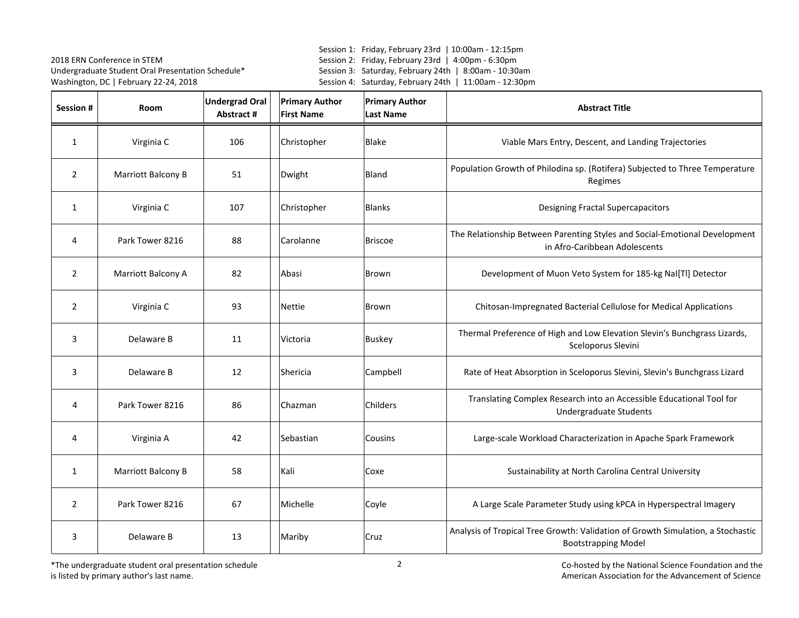Session 1: Friday, February 23rd | 10:00am - 12:15pm Session 2: Friday, February 23rd | 4:00pm - 6:30pm Session 3: Saturday, February 24th | 8:00am - 10:30am Session 4: Saturday, February 24th | 11:00am - 12:30pm

| Session #      | Room               | <b>Undergrad Oral</b><br>Abstract # | <b>Primary Author</b><br><b>First Name</b> | <b>Primary Author</b><br><b>Last Name</b> | <b>Abstract Title</b>                                                                                         |
|----------------|--------------------|-------------------------------------|--------------------------------------------|-------------------------------------------|---------------------------------------------------------------------------------------------------------------|
| $\mathbf{1}$   | Virginia C         | 106                                 | Christopher                                | Blake                                     | Viable Mars Entry, Descent, and Landing Trajectories                                                          |
| $\overline{2}$ | Marriott Balcony B | 51                                  | Dwight                                     | Bland                                     | Population Growth of Philodina sp. (Rotifera) Subjected to Three Temperature<br>Regimes                       |
| $\mathbf{1}$   | Virginia C         | 107                                 | Christopher                                | <b>Blanks</b>                             | <b>Designing Fractal Supercapacitors</b>                                                                      |
| 4              | Park Tower 8216    | 88                                  | Carolanne                                  | <b>Briscoe</b>                            | The Relationship Between Parenting Styles and Social-Emotional Development<br>in Afro-Caribbean Adolescents   |
| $\overline{2}$ | Marriott Balcony A | 82                                  | Abasi                                      | Brown                                     | Development of Muon Veto System for 185-kg NaI[TI] Detector                                                   |
| $\overline{2}$ | Virginia C         | 93                                  | <b>Nettie</b>                              | Brown                                     | Chitosan-Impregnated Bacterial Cellulose for Medical Applications                                             |
| 3              | Delaware B         | 11                                  | Victoria                                   | <b>Buskey</b>                             | Thermal Preference of High and Low Elevation Slevin's Bunchgrass Lizards,<br>Sceloporus Slevini               |
| 3              | Delaware B         | 12                                  | Shericia                                   | Campbell                                  | Rate of Heat Absorption in Sceloporus Slevini, Slevin's Bunchgrass Lizard                                     |
| 4              | Park Tower 8216    | 86                                  | Chazman                                    | Childers                                  | Translating Complex Research into an Accessible Educational Tool for<br><b>Undergraduate Students</b>         |
| 4              | Virginia A         | 42                                  | Sebastian                                  | Cousins                                   | Large-scale Workload Characterization in Apache Spark Framework                                               |
| $\mathbf{1}$   | Marriott Balcony B | 58                                  | Kali                                       | Coxe                                      | Sustainability at North Carolina Central University                                                           |
| $\overline{2}$ | Park Tower 8216    | 67                                  | Michelle                                   | Coyle                                     | A Large Scale Parameter Study using kPCA in Hyperspectral Imagery                                             |
| 3              | Delaware B         | 13                                  | Mariby                                     | Cruz                                      | Analysis of Tropical Tree Growth: Validation of Growth Simulation, a Stochastic<br><b>Bootstrapping Model</b> |

\*The undergraduate student oral presentation schedule is listed by primary author's last name.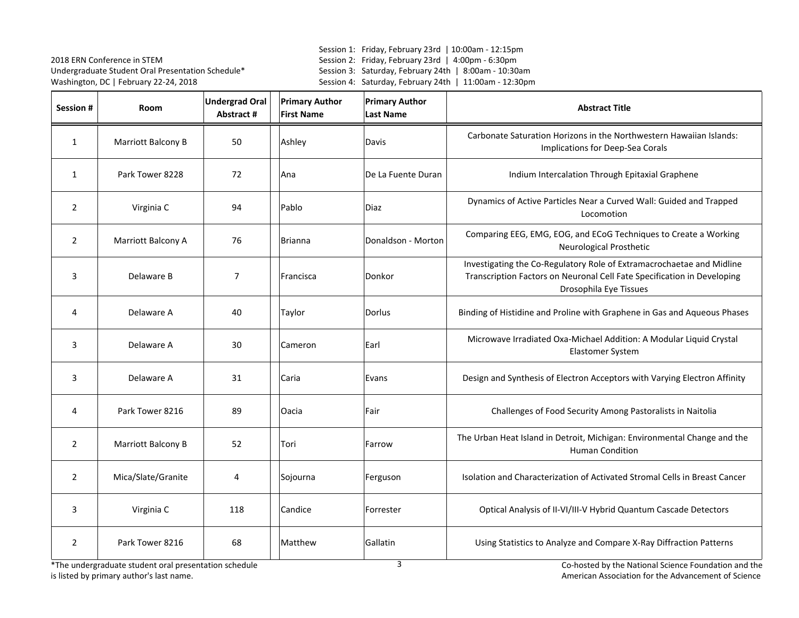Session 1: Friday, February 23rd | 10:00am - 12:15pm Session 2: Friday, February 23rd | 4:00pm - 6:30pm Session 3: Saturday, February 24th | 8:00am - 10:30am Session 4: Saturday, February 24th | 11:00am - 12:30pm

| Session #      | <b>Room</b>        | <b>Undergrad Oral</b><br>Abstract # | <b>Primary Author</b><br><b>First Name</b> | <b>Primary Author</b><br><b>Last Name</b> | <b>Abstract Title</b>                                                                                                                                                      |
|----------------|--------------------|-------------------------------------|--------------------------------------------|-------------------------------------------|----------------------------------------------------------------------------------------------------------------------------------------------------------------------------|
| $\mathbf{1}$   | Marriott Balcony B | 50                                  | Ashley                                     | Davis                                     | Carbonate Saturation Horizons in the Northwestern Hawaiian Islands:<br>Implications for Deep-Sea Corals                                                                    |
| $\mathbf{1}$   | Park Tower 8228    | 72                                  | Ana                                        | De La Fuente Duran                        | Indium Intercalation Through Epitaxial Graphene                                                                                                                            |
| $\overline{2}$ | Virginia C         | 94                                  | Pablo                                      | Diaz                                      | Dynamics of Active Particles Near a Curved Wall: Guided and Trapped<br>Locomotion                                                                                          |
| $\overline{2}$ | Marriott Balcony A | 76                                  | <b>Brianna</b>                             | Donaldson - Morton                        | Comparing EEG, EMG, EOG, and ECoG Techniques to Create a Working<br>Neurological Prosthetic                                                                                |
| 3              | Delaware B         | $\overline{7}$                      | Francisca                                  | Donkor                                    | Investigating the Co-Regulatory Role of Extramacrochaetae and Midline<br>Transcription Factors on Neuronal Cell Fate Specification in Developing<br>Drosophila Eye Tissues |
| 4              | Delaware A         | 40                                  | Taylor                                     | Dorlus                                    | Binding of Histidine and Proline with Graphene in Gas and Aqueous Phases                                                                                                   |
| 3              | Delaware A         | 30                                  | Cameron                                    | Earl                                      | Microwave Irradiated Oxa-Michael Addition: A Modular Liquid Crystal<br>Elastomer System                                                                                    |
| 3              | Delaware A         | 31                                  | Caria                                      | Evans                                     | Design and Synthesis of Electron Acceptors with Varying Electron Affinity                                                                                                  |
| 4              | Park Tower 8216    | 89                                  | Oacia                                      | Fair                                      | Challenges of Food Security Among Pastoralists in Naitolia                                                                                                                 |
| $\overline{2}$ | Marriott Balcony B | 52                                  | Tori                                       | Farrow                                    | The Urban Heat Island in Detroit, Michigan: Environmental Change and the<br><b>Human Condition</b>                                                                         |
| $\overline{2}$ | Mica/Slate/Granite | 4                                   | Sojourna                                   | Ferguson                                  | Isolation and Characterization of Activated Stromal Cells in Breast Cancer                                                                                                 |
| 3              | Virginia C         | 118                                 | Candice                                    | Forrester                                 | Optical Analysis of II-VI/III-V Hybrid Quantum Cascade Detectors                                                                                                           |
| $\overline{2}$ | Park Tower 8216    | 68                                  | Matthew                                    | Gallatin                                  | Using Statistics to Analyze and Compare X-Ray Diffraction Patterns                                                                                                         |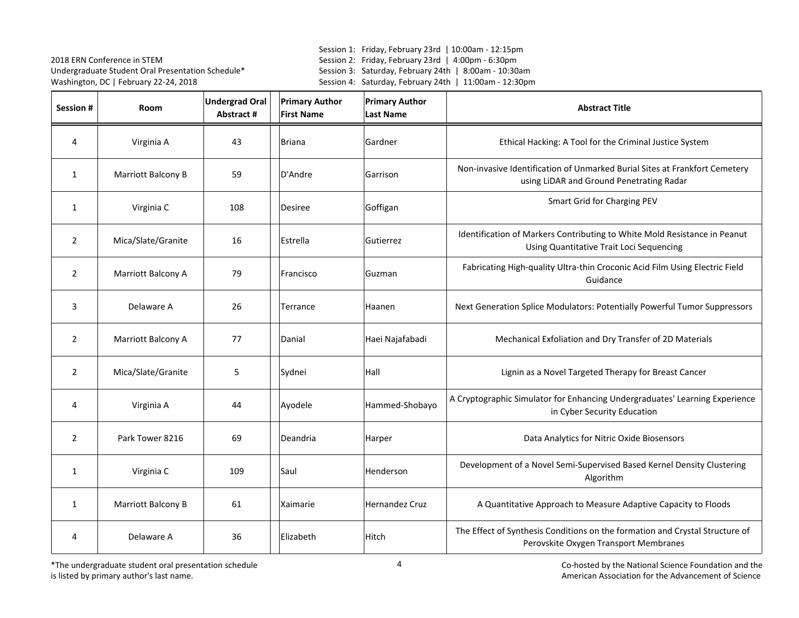Session 1: Friday, February 23rd | 10:00am - 12:15pm Session 2: Friday, February 23rd | 4:00pm - 6:30pm Session 3: Saturday, February 24th | 8:00am - 10:30am Session 4: Saturday, February 24th | 11:00am - 12:30pm

| Session #      | Room               | <b>Undergrad Oral</b><br>Abstract # | <b>Primary Author</b><br><b>First Name</b> | <b>Primary Author</b><br><b>Last Name</b> | <b>Abstract Title</b>                                                                                                  |
|----------------|--------------------|-------------------------------------|--------------------------------------------|-------------------------------------------|------------------------------------------------------------------------------------------------------------------------|
| 4              | Virginia A         | 43                                  | <b>Briana</b>                              | Gardner                                   | Ethical Hacking: A Tool for the Criminal Justice System                                                                |
| $\mathbf{1}$   | Marriott Balcony B | 59                                  | D'Andre                                    | Garrison                                  | Non-invasive Identification of Unmarked Burial Sites at Frankfort Cemetery<br>using LiDAR and Ground Penetrating Radar |
| $\mathbf{1}$   | Virginia C         | 108                                 | Desiree                                    | Goffigan                                  | Smart Grid for Charging PEV                                                                                            |
| $\overline{2}$ | Mica/Slate/Granite | 16                                  | Estrella                                   | Gutierrez                                 | Identification of Markers Contributing to White Mold Resistance in Peanut<br>Using Quantitative Trait Loci Sequencing  |
| $\overline{2}$ | Marriott Balcony A | 79                                  | Francisco                                  | Guzman                                    | Fabricating High-quality Ultra-thin Croconic Acid Film Using Electric Field<br>Guidance                                |
| 3              | Delaware A         | 26                                  | Terrance                                   | Haanen                                    | Next Generation Splice Modulators: Potentially Powerful Tumor Suppressors                                              |
| $\overline{2}$ | Marriott Balcony A | 77                                  | Danial                                     | Haei Najafabadi                           | Mechanical Exfoliation and Dry Transfer of 2D Materials                                                                |
| $\overline{2}$ | Mica/Slate/Granite | 5                                   | Sydnei                                     | Hall                                      | Lignin as a Novel Targeted Therapy for Breast Cancer                                                                   |
| 4              | Virginia A         | 44                                  | Ayodele                                    | Hammed-Shobayo                            | A Cryptographic Simulator for Enhancing Undergraduates' Learning Experience<br>in Cyber Security Education             |
| $\overline{2}$ | Park Tower 8216    | 69                                  | Deandria                                   | Harper                                    | Data Analytics for Nitric Oxide Biosensors                                                                             |
| $\mathbf{1}$   | Virginia C         | 109                                 | Saul                                       | Henderson                                 | Development of a Novel Semi-Supervised Based Kernel Density Clustering<br>Algorithm                                    |
| $\mathbf{1}$   | Marriott Balcony B | 61                                  | Xaimarie                                   | <b>Hernandez Cruz</b>                     | A Quantitative Approach to Measure Adaptive Capacity to Floods                                                         |
| 4              | Delaware A         | 36                                  | Elizabeth                                  | Hitch                                     | The Effect of Synthesis Conditions on the formation and Crystal Structure of<br>Perovskite Oxygen Transport Membranes  |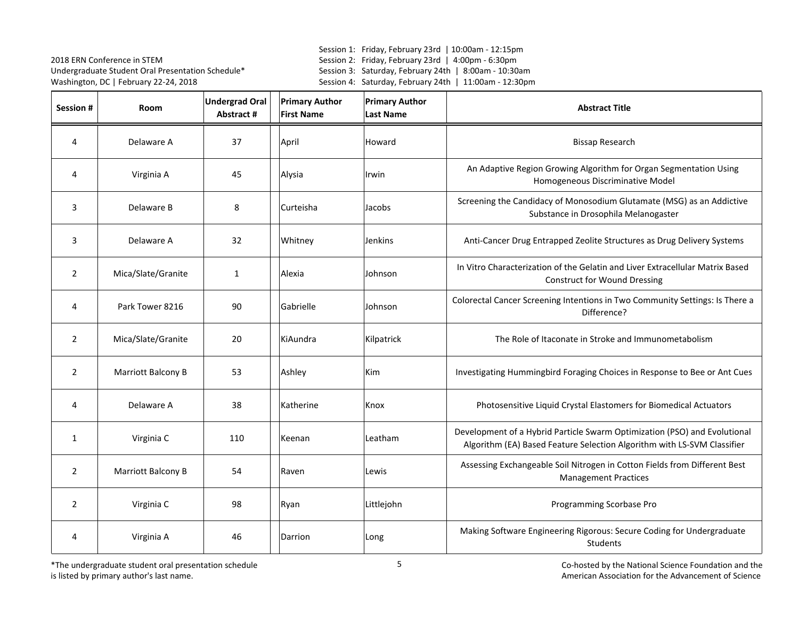Session 1: Friday, February 23rd | 10:00am - 12:15pm Session 2: Friday, February 23rd | 4:00pm - 6:30pm Session 3: Saturday, February 24th | 8:00am - 10:30am Session 4: Saturday, February 24th | 11:00am - 12:30pm

| Session #      | Room               | <b>Undergrad Oral</b><br>Abstract # | <b>Primary Author</b><br><b>First Name</b> | <b>Primary Author</b><br><b>Last Name</b> | <b>Abstract Title</b>                                                                                                                                |
|----------------|--------------------|-------------------------------------|--------------------------------------------|-------------------------------------------|------------------------------------------------------------------------------------------------------------------------------------------------------|
| 4              | Delaware A         | 37                                  | April                                      | Howard                                    | <b>Bissap Research</b>                                                                                                                               |
| 4              | Virginia A         | 45                                  | Alysia                                     | Irwin                                     | An Adaptive Region Growing Algorithm for Organ Segmentation Using<br>Homogeneous Discriminative Model                                                |
| 3              | Delaware B         | 8                                   | Curteisha                                  | Jacobs                                    | Screening the Candidacy of Monosodium Glutamate (MSG) as an Addictive<br>Substance in Drosophila Melanogaster                                        |
| 3              | Delaware A         | 32                                  | Whitney                                    | <b>Jenkins</b>                            | Anti-Cancer Drug Entrapped Zeolite Structures as Drug Delivery Systems                                                                               |
| $\overline{2}$ | Mica/Slate/Granite | $\mathbf{1}$                        | Alexia                                     | Johnson                                   | In Vitro Characterization of the Gelatin and Liver Extracellular Matrix Based<br><b>Construct for Wound Dressing</b>                                 |
| 4              | Park Tower 8216    | 90                                  | Gabrielle                                  | Johnson                                   | Colorectal Cancer Screening Intentions in Two Community Settings: Is There a<br>Difference?                                                          |
| $\overline{2}$ | Mica/Slate/Granite | 20                                  | KiAundra                                   | Kilpatrick                                | The Role of Itaconate in Stroke and Immunometabolism                                                                                                 |
| $\overline{2}$ | Marriott Balcony B | 53                                  | Ashley                                     | Kim                                       | Investigating Hummingbird Foraging Choices in Response to Bee or Ant Cues                                                                            |
| 4              | Delaware A         | 38                                  | Katherine                                  | Knox                                      | Photosensitive Liquid Crystal Elastomers for Biomedical Actuators                                                                                    |
| $\mathbf{1}$   | Virginia C         | 110                                 | Keenan                                     | Leatham                                   | Development of a Hybrid Particle Swarm Optimization (PSO) and Evolutional<br>Algorithm (EA) Based Feature Selection Algorithm with LS-SVM Classifier |
| 2              | Marriott Balcony B | 54                                  | Raven                                      | Lewis                                     | Assessing Exchangeable Soil Nitrogen in Cotton Fields from Different Best<br><b>Management Practices</b>                                             |
| $\overline{2}$ | Virginia C         | 98                                  | Ryan                                       | Littlejohn                                | Programming Scorbase Pro                                                                                                                             |
| 4              | Virginia A         | 46                                  | Darrion                                    | Long                                      | Making Software Engineering Rigorous: Secure Coding for Undergraduate<br>Students                                                                    |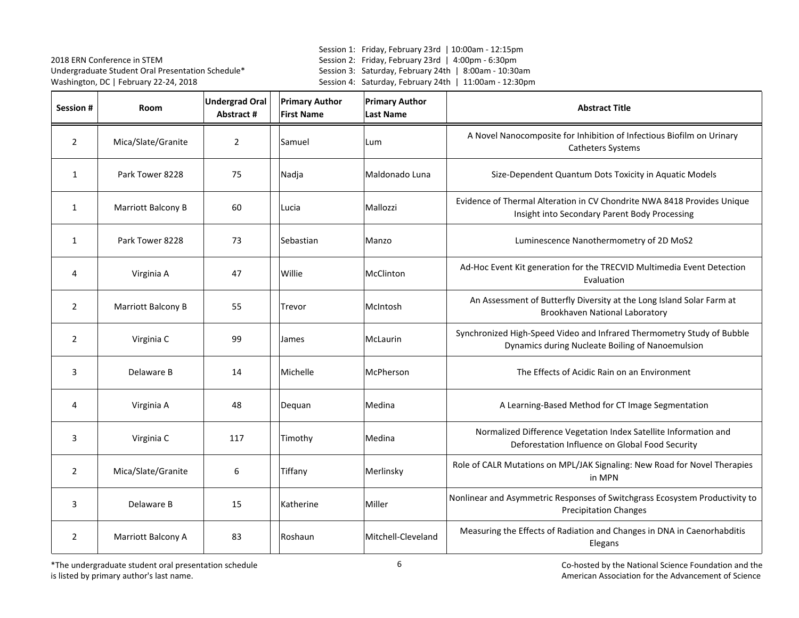Session 1: Friday, February 23rd | 10:00am - 12:15pm Session 2: Friday, February 23rd | 4:00pm - 6:30pm Session 3: Saturday, February 24th | 8:00am - 10:30am Session 4: Saturday, February 24th | 11:00am - 12:30pm

| Session #      | <b>Room</b>        | <b>Undergrad Oral</b><br>Abstract # | <b>Primary Author</b><br><b>First Name</b> | <b>Primary Author</b><br><b>Last Name</b> | <b>Abstract Title</b>                                                                                                      |
|----------------|--------------------|-------------------------------------|--------------------------------------------|-------------------------------------------|----------------------------------------------------------------------------------------------------------------------------|
| $\overline{2}$ | Mica/Slate/Granite | $\overline{2}$                      | Samuel                                     | Lum                                       | A Novel Nanocomposite for Inhibition of Infectious Biofilm on Urinary<br>Catheters Systems                                 |
| $\mathbf{1}$   | Park Tower 8228    | 75                                  | Nadja                                      | Maldonado Luna                            | Size-Dependent Quantum Dots Toxicity in Aquatic Models                                                                     |
| 1              | Marriott Balcony B | 60                                  | Lucia                                      | Mallozzi                                  | Evidence of Thermal Alteration in CV Chondrite NWA 8418 Provides Unique<br>Insight into Secondary Parent Body Processing   |
| $\mathbf{1}$   | Park Tower 8228    | 73                                  | Sebastian                                  | Manzo                                     | Luminescence Nanothermometry of 2D MoS2                                                                                    |
| 4              | Virginia A         | 47                                  | Willie                                     | McClinton                                 | Ad-Hoc Event Kit generation for the TRECVID Multimedia Event Detection<br>Evaluation                                       |
| $\overline{2}$ | Marriott Balcony B | 55                                  | Trevor                                     | McIntosh                                  | An Assessment of Butterfly Diversity at the Long Island Solar Farm at<br>Brookhaven National Laboratory                    |
| $\overline{2}$ | Virginia C         | 99                                  | James                                      | McLaurin                                  | Synchronized High-Speed Video and Infrared Thermometry Study of Bubble<br>Dynamics during Nucleate Boiling of Nanoemulsion |
| 3              | Delaware B         | 14                                  | Michelle                                   | McPherson                                 | The Effects of Acidic Rain on an Environment                                                                               |
| 4              | Virginia A         | 48                                  | Dequan                                     | Medina                                    | A Learning-Based Method for CT Image Segmentation                                                                          |
| 3              | Virginia C         | 117                                 | Timothy                                    | Medina                                    | Normalized Difference Vegetation Index Satellite Information and<br>Deforestation Influence on Global Food Security        |
| $\overline{2}$ | Mica/Slate/Granite | 6                                   | Tiffany                                    | Merlinsky                                 | Role of CALR Mutations on MPL/JAK Signaling: New Road for Novel Therapies<br>in MPN                                        |
| 3              | Delaware B         | 15                                  | Katherine                                  | Miller                                    | Nonlinear and Asymmetric Responses of Switchgrass Ecosystem Productivity to<br><b>Precipitation Changes</b>                |
| $\overline{2}$ | Marriott Balcony A | 83                                  | Roshaun                                    | Mitchell-Cleveland                        | Measuring the Effects of Radiation and Changes in DNA in Caenorhabditis<br>Elegans                                         |

\*The undergraduate student oral presentation schedule is listed by primary author's last name.

entation schedule entry the National Science Foundation and the entry of the National Science Foundation and the<br>American Association for the Advancement of Science .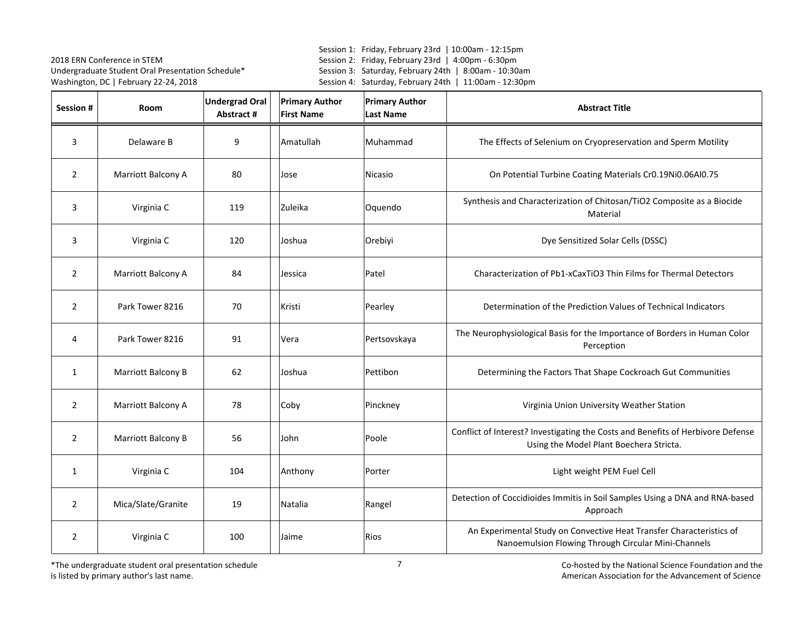Session 1: Friday, February 23rd | 10:00am - 12:15pm Session 2: Friday, February 23rd | 4:00pm - 6:30pm Session 3: Saturday, February 24th | 8:00am - 10:30am Session 4: Saturday, February 24th | 11:00am - 12:30pm

| Session #      | Room               | <b>Undergrad Oral</b><br>Abstract # | <b>Primary Author</b><br><b>First Name</b> | <b>Primary Author</b><br><b>Last Name</b> | <b>Abstract Title</b>                                                                                                       |
|----------------|--------------------|-------------------------------------|--------------------------------------------|-------------------------------------------|-----------------------------------------------------------------------------------------------------------------------------|
| 3              | Delaware B         | 9                                   | Amatullah                                  | Muhammad                                  | The Effects of Selenium on Cryopreservation and Sperm Motility                                                              |
| $\overline{2}$ | Marriott Balcony A | 80                                  | Jose                                       | Nicasio                                   | On Potential Turbine Coating Materials Cr0.19Ni0.06Al0.75                                                                   |
| 3              | Virginia C         | 119                                 | Zuleika                                    | Oquendo                                   | Synthesis and Characterization of Chitosan/TiO2 Composite as a Biocide<br>Material                                          |
| 3              | Virginia C         | 120                                 | Joshua                                     | Orebiyi                                   | Dye Sensitized Solar Cells (DSSC)                                                                                           |
| $\overline{2}$ | Marriott Balcony A | 84                                  | Jessica                                    | Patel                                     | Characterization of Pb1-xCaxTiO3 Thin Films for Thermal Detectors                                                           |
| $\overline{2}$ | Park Tower 8216    | 70                                  | Kristi                                     | Pearley                                   | Determination of the Prediction Values of Technical Indicators                                                              |
| 4              | Park Tower 8216    | 91                                  | Vera                                       | Pertsovskaya                              | The Neurophysiological Basis for the Importance of Borders in Human Color<br>Perception                                     |
| $\mathbf{1}$   | Marriott Balcony B | 62                                  | Joshua                                     | Pettibon                                  | Determining the Factors That Shape Cockroach Gut Communities                                                                |
| $\overline{2}$ | Marriott Balcony A | 78                                  | Coby                                       | Pinckney                                  | Virginia Union University Weather Station                                                                                   |
| $\overline{2}$ | Marriott Balcony B | 56                                  | John                                       | Poole                                     | Conflict of Interest? Investigating the Costs and Benefits of Herbivore Defense<br>Using the Model Plant Boechera Stricta.  |
| $\mathbf{1}$   | Virginia C         | 104                                 | Anthony                                    | Porter                                    | Light weight PEM Fuel Cell                                                                                                  |
| $\overline{2}$ | Mica/Slate/Granite | 19                                  | Natalia                                    | Rangel                                    | Detection of Coccidioides Immitis in Soil Samples Using a DNA and RNA-based<br>Approach                                     |
| $\overline{2}$ | Virginia C         | 100                                 | Jaime                                      | <b>Rios</b>                               | An Experimental Study on Convective Heat Transfer Characteristics of<br>Nanoemulsion Flowing Through Circular Mini-Channels |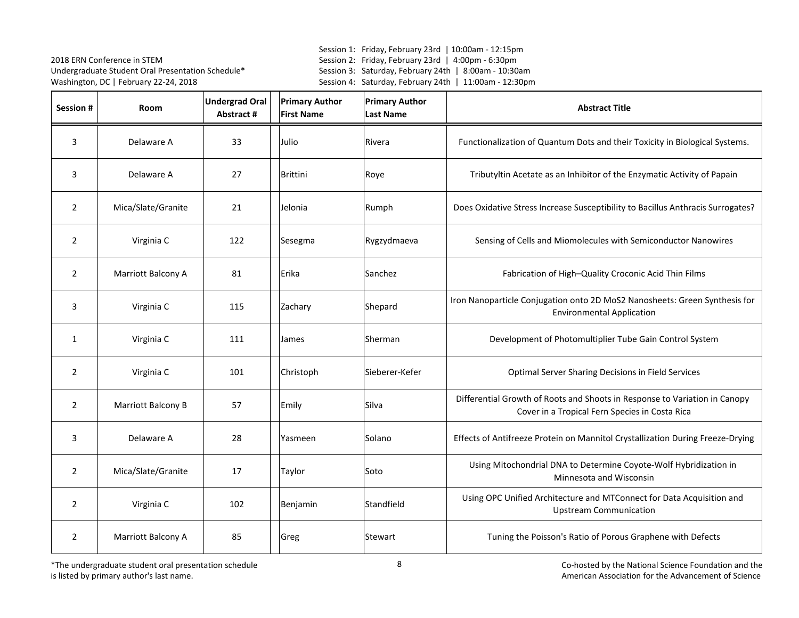Session 1: Friday, February 23rd | 10:00am - 12:15pm Session 2: Friday, February 23rd | 4:00pm - 6:30pm Session 3: Saturday, February 24th | 8:00am - 10:30am Session 4: Saturday, February 24th | 11:00am - 12:30pm

| <b>Session #</b> | <b>Room</b>        | <b>Undergrad Oral</b><br>Abstract # | <b>Primary Author</b><br><b>First Name</b> | <b>Primary Author</b><br><b>Last Name</b> | <b>Abstract Title</b>                                                                                                        |
|------------------|--------------------|-------------------------------------|--------------------------------------------|-------------------------------------------|------------------------------------------------------------------------------------------------------------------------------|
| 3                | Delaware A         | 33                                  | Julio                                      | Rivera                                    | Functionalization of Quantum Dots and their Toxicity in Biological Systems.                                                  |
| 3                | Delaware A         | 27                                  | <b>Brittini</b>                            | Roye                                      | Tributyltin Acetate as an Inhibitor of the Enzymatic Activity of Papain                                                      |
| $\overline{2}$   | Mica/Slate/Granite | 21                                  | Jelonia                                    | Rumph                                     | Does Oxidative Stress Increase Susceptibility to Bacillus Anthracis Surrogates?                                              |
| $\overline{2}$   | Virginia C         | 122                                 | Sesegma                                    | Rygzydmaeva                               | Sensing of Cells and Miomolecules with Semiconductor Nanowires                                                               |
| $\overline{2}$   | Marriott Balcony A | 81                                  | Erika                                      | Sanchez                                   | Fabrication of High-Quality Croconic Acid Thin Films                                                                         |
| 3                | Virginia C         | 115                                 | Zachary                                    | Shepard                                   | Iron Nanoparticle Conjugation onto 2D MoS2 Nanosheets: Green Synthesis for<br><b>Environmental Application</b>               |
| $\mathbf{1}$     | Virginia C         | 111                                 | James                                      | Sherman                                   | Development of Photomultiplier Tube Gain Control System                                                                      |
| $\overline{2}$   | Virginia C         | 101                                 | Christoph                                  | Sieberer-Kefer                            | Optimal Server Sharing Decisions in Field Services                                                                           |
| $\overline{2}$   | Marriott Balcony B | 57                                  | Emily                                      | Silva                                     | Differential Growth of Roots and Shoots in Response to Variation in Canopy<br>Cover in a Tropical Fern Species in Costa Rica |
| 3                | Delaware A         | 28                                  | Yasmeen                                    | Solano                                    | Effects of Antifreeze Protein on Mannitol Crystallization During Freeze-Drying                                               |
| $\overline{2}$   | Mica/Slate/Granite | 17                                  | Taylor                                     | Soto                                      | Using Mitochondrial DNA to Determine Coyote-Wolf Hybridization in<br>Minnesota and Wisconsin                                 |
| 2                | Virginia C         | 102                                 | Benjamin                                   | Standfield                                | Using OPC Unified Architecture and MTConnect for Data Acquisition and<br><b>Upstream Communication</b>                       |
| $\overline{2}$   | Marriott Balcony A | 85                                  | Greg                                       | Stewart                                   | Tuning the Poisson's Ratio of Porous Graphene with Defects                                                                   |

\*The undergraduate student oral presentation schedule is listed by primary author's last name.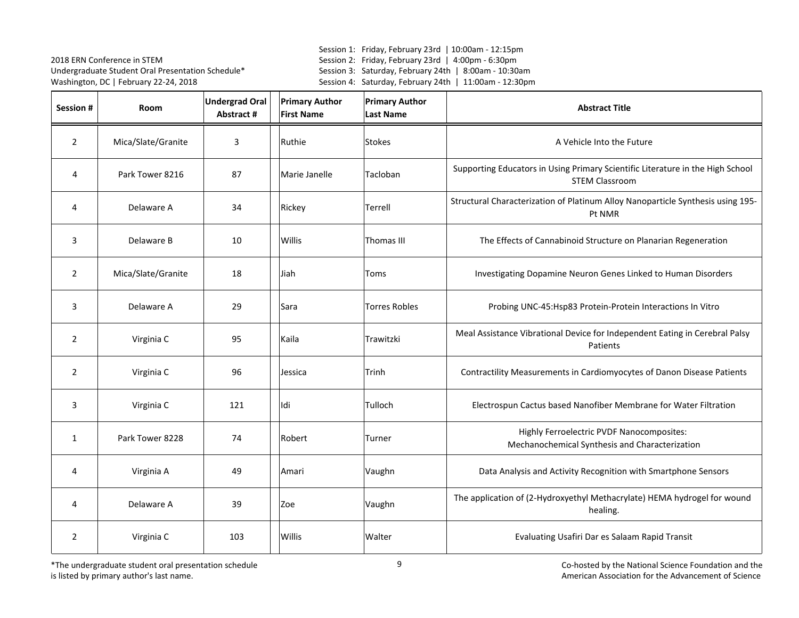Session 1: Friday, February 23rd | 10:00am - 12:15pm Session 2: Friday, February 23rd | 4:00pm - 6:30pm Session 3: Saturday, February 24th | 8:00am - 10:30am Session 4: Saturday, February 24th | 11:00am - 12:30pm

| Session #      | Room               | <b>Undergrad Oral</b><br>Abstract # | <b>Primary Author</b><br><b>First Name</b> | <b>Primary Author</b><br><b>Last Name</b> | <b>Abstract Title</b>                                                                                   |
|----------------|--------------------|-------------------------------------|--------------------------------------------|-------------------------------------------|---------------------------------------------------------------------------------------------------------|
| $\overline{2}$ | Mica/Slate/Granite | 3                                   | Ruthie                                     | <b>Stokes</b>                             | A Vehicle Into the Future                                                                               |
| 4              | Park Tower 8216    | 87                                  | Marie Janelle                              | Tacloban                                  | Supporting Educators in Using Primary Scientific Literature in the High School<br><b>STEM Classroom</b> |
| 4              | Delaware A         | 34                                  | Rickey                                     | Terrell                                   | Structural Characterization of Platinum Alloy Nanoparticle Synthesis using 195-<br>Pt NMR               |
| 3              | Delaware B         | 10                                  | Willis                                     | Thomas III                                | The Effects of Cannabinoid Structure on Planarian Regeneration                                          |
| $\overline{2}$ | Mica/Slate/Granite | 18                                  | Jiah                                       | Toms                                      | Investigating Dopamine Neuron Genes Linked to Human Disorders                                           |
| 3              | Delaware A         | 29                                  | Sara                                       | <b>Torres Robles</b>                      | Probing UNC-45: Hsp83 Protein-Protein Interactions In Vitro                                             |
| $\overline{2}$ | Virginia C         | 95                                  | Kaila                                      | Trawitzki                                 | Meal Assistance Vibrational Device for Independent Eating in Cerebral Palsy<br>Patients                 |
| $\overline{2}$ | Virginia C         | 96                                  | Jessica                                    | Trinh                                     | Contractility Measurements in Cardiomyocytes of Danon Disease Patients                                  |
| 3              | Virginia C         | 121                                 | Idi                                        | Tulloch                                   | Electrospun Cactus based Nanofiber Membrane for Water Filtration                                        |
| $\mathbf{1}$   | Park Tower 8228    | 74                                  | Robert                                     | Turner                                    | Highly Ferroelectric PVDF Nanocomposites:<br>Mechanochemical Synthesis and Characterization             |
| 4              | Virginia A         | 49                                  | Amari                                      | Vaughn                                    | Data Analysis and Activity Recognition with Smartphone Sensors                                          |
| 4              | Delaware A         | 39                                  | Zoe                                        | Vaughn                                    | The application of (2-Hydroxyethyl Methacrylate) HEMA hydrogel for wound<br>healing.                    |
| $\overline{2}$ | Virginia C         | 103                                 | Willis                                     | Walter                                    | Evaluating Usafiri Dar es Salaam Rapid Transit                                                          |

\*The undergraduate student oral presentation schedule is listed by primary author's last name.